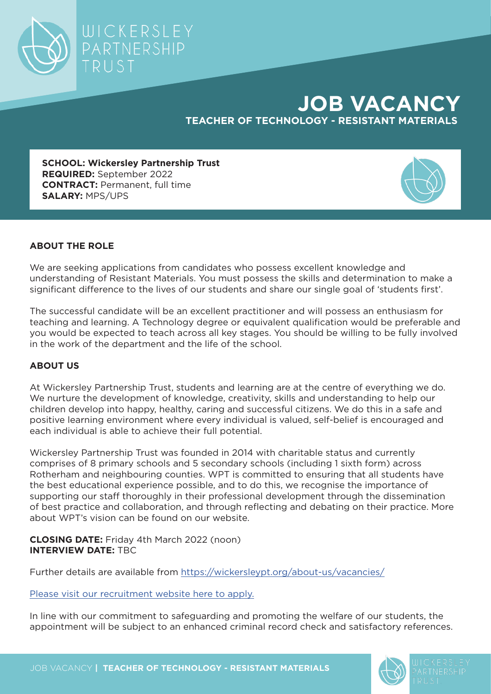

## **JOB VACANCY TEACHER OF TECHNOLOGY - RESISTANT MATERIALS**

**SCHOOL: Wickersley Partnership Trust REQUIRED:** September 2022 **CONTRACT:** Permanent, full time **SALARY:** MPS/UPS



## **ABOUT THE ROLE**

We are seeking applications from candidates who possess excellent knowledge and understanding of Resistant Materials. You must possess the skills and determination to make a significant difference to the lives of our students and share our single goal of 'students first'.

The successful candidate will be an excellent practitioner and will possess an enthusiasm for teaching and learning. A Technology degree or equivalent qualification would be preferable and you would be expected to teach across all key stages. You should be willing to be fully involved in the work of the department and the life of the school.

## **ABOUT US**

At Wickersley Partnership Trust, students and learning are at the centre of everything we do. We nurture the development of knowledge, creativity, skills and understanding to help our children develop into happy, healthy, caring and successful citizens. We do this in a safe and positive learning environment where every individual is valued, self-belief is encouraged and each individual is able to achieve their full potential.

Wickersley Partnership Trust was founded in 2014 with charitable status and currently comprises of 8 primary schools and 5 secondary schools (including 1 sixth form) across Rotherham and neighbouring counties. WPT is committed to ensuring that all students have the best educational experience possible, and to do this, we recognise the importance of supporting our staff thoroughly in their professional development through the dissemination of best practice and collaboration, and through reflecting and debating on their practice. More about WPT's vision can be found on our website.

**CLOSING DATE:** Friday 4th March 2022 (noon) **INTERVIEW DATE:** TBC

Further details are available from https://wickersleypt.org/about-us/vacancies/

[Please visit our recruitment website here to apply.](https://my.corehr.com/pls/wkptrecruit/erq_search_package.search_form?p_company=1&p_internal_external=E)

In line with our commitment to safeguarding and promoting the welfare of our students, the appointment will be subject to an enhanced criminal record check and satisfactory references.